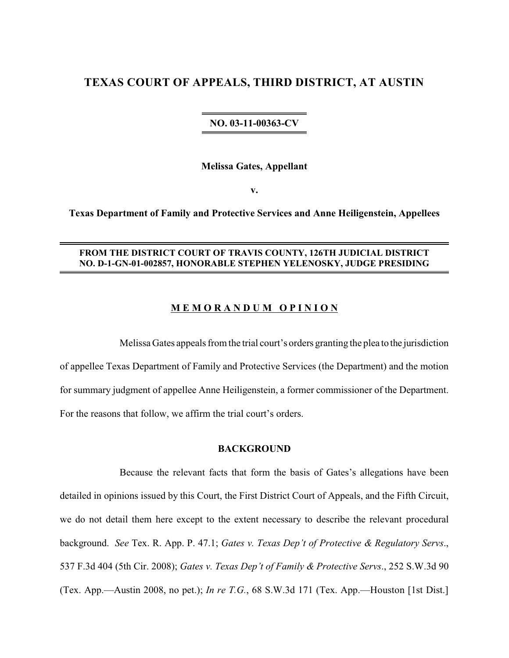# **TEXAS COURT OF APPEALS, THIRD DISTRICT, AT AUSTIN**

## **NO. 03-11-00363-CV**

**Melissa Gates, Appellant**

**v.**

**Texas Department of Family and Protective Services and Anne Heiligenstein, Appellees**

## **FROM THE DISTRICT COURT OF TRAVIS COUNTY, 126TH JUDICIAL DISTRICT NO. D-1-GN-01-002857, HONORABLE STEPHEN YELENOSKY, JUDGE PRESIDING**

## **M E M O R A N D U M O P I N I O N**

Melissa Gates appeals from the trial court's orders granting the plea to the jurisdiction of appellee Texas Department of Family and Protective Services (the Department) and the motion for summary judgment of appellee Anne Heiligenstein, a former commissioner of the Department. For the reasons that follow, we affirm the trial court's orders.

## **BACKGROUND**

Because the relevant facts that form the basis of Gates's allegations have been detailed in opinions issued by this Court, the First District Court of Appeals, and the Fifth Circuit, we do not detail them here except to the extent necessary to describe the relevant procedural background. *See* Tex. R. App. P. 47.1; *Gates v. Texas Dep't of Protective & Regulatory Servs*., 537 F.3d 404 (5th Cir. 2008); *Gates v. Texas Dep't of Family & Protective Servs*., 252 S.W.3d 90 (Tex. App.—Austin 2008, no pet.); *In re T.G.*, 68 S.W.3d 171 (Tex. App.—Houston [1st Dist.]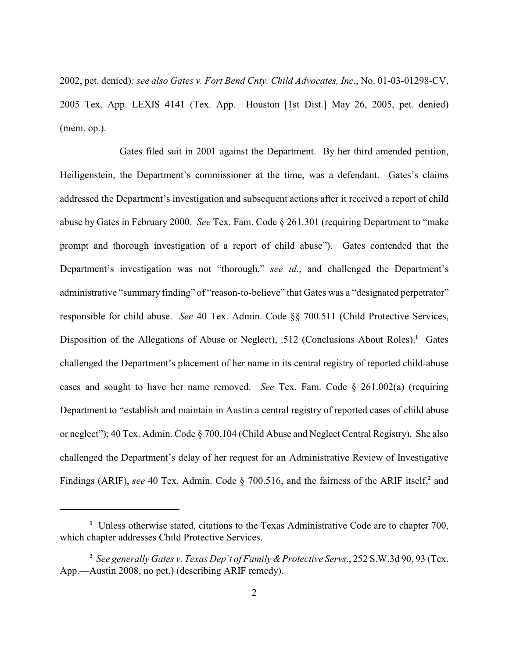2002, pet. denied)*; see also Gates v. Fort Bend Cnty. Child Advocates, Inc*., No. 01-03-01298-CV, 2005 Tex. App. LEXIS 4141 (Tex. App.—Houston [1st Dist.] May 26, 2005, pet. denied) (mem. op.).

Gates filed suit in 2001 against the Department. By her third amended petition, Heiligenstein, the Department's commissioner at the time, was a defendant. Gates's claims addressed the Department's investigation and subsequent actions after it received a report of child abuse by Gates in February 2000. *See* Tex. Fam. Code § 261.301 (requiring Department to "make prompt and thorough investigation of a report of child abuse"). Gates contended that the Department's investigation was not "thorough," *see id.*, and challenged the Department's administrative "summary finding" of "reason-to-believe" that Gates was a "designated perpetrator" responsible for child abuse. *See* 40 Tex. Admin. Code §§ 700.511 (Child Protective Services, Disposition of the Allegations of Abuse or Neglect), .512 (Conclusions About Roles).<sup>1</sup> Gates challenged the Department's placement of her name in its central registry of reported child-abuse cases and sought to have her name removed. *See* Tex. Fam. Code § 261.002(a) (requiring Department to "establish and maintain in Austin a central registry of reported cases of child abuse or neglect"); 40 Tex. Admin. Code § 700.104 (Child Abuse and Neglect Central Registry). She also challenged the Department's delay of her request for an Administrative Review of Investigative Findings (ARIF), *see* 40 Tex. Admin. Code § 700.516, and the fairness of the ARIF itself,<sup>2</sup> and

<sup>&</sup>lt;sup>1</sup> Unless otherwise stated, citations to the Texas Administrative Code are to chapter 700, which chapter addresses Child Protective Services.

<sup>&</sup>lt;sup>2</sup> See generally *Gates v. Texas Dep't of Family & Protective Servs.*, 252 S.W.3d 90, 93 (Tex. App.—Austin 2008, no pet.) (describing ARIF remedy).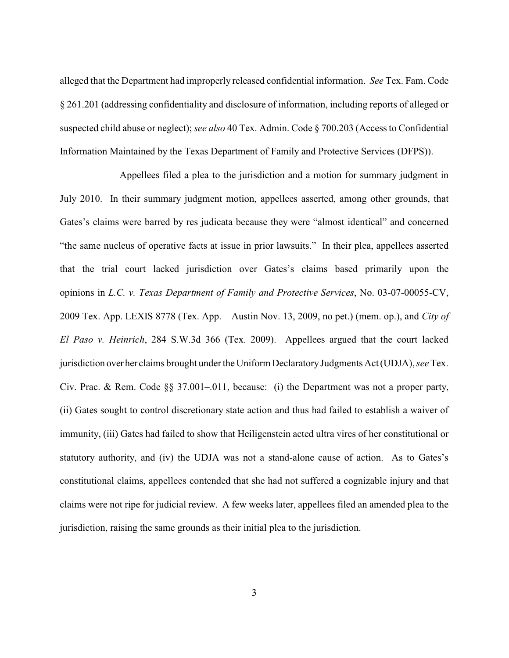alleged that the Department had improperly released confidential information. *See* Tex. Fam. Code § 261.201 (addressing confidentiality and disclosure of information, including reports of alleged or suspected child abuse or neglect); *see also* 40 Tex. Admin. Code § 700.203 (Access to Confidential Information Maintained by the Texas Department of Family and Protective Services (DFPS)).

Appellees filed a plea to the jurisdiction and a motion for summary judgment in July 2010. In their summary judgment motion, appellees asserted, among other grounds, that Gates's claims were barred by res judicata because they were "almost identical" and concerned "the same nucleus of operative facts at issue in prior lawsuits." In their plea, appellees asserted that the trial court lacked jurisdiction over Gates's claims based primarily upon the opinions in *L.C. v. Texas Department of Family and Protective Services*, No. 03-07-00055-CV, 2009 Tex. App. LEXIS 8778 (Tex. App.—Austin Nov. 13, 2009, no pet.) (mem. op.), and *City of El Paso v. Heinrich*, 284 S.W.3d 366 (Tex. 2009). Appellees argued that the court lacked jurisdiction over her claims brought under the Uniform Declaratory Judgments Act (UDJA), *see* Tex. Civ. Prac. & Rem. Code §§ 37.001–.011, because: (i) the Department was not a proper party, (ii) Gates sought to control discretionary state action and thus had failed to establish a waiver of immunity, (iii) Gates had failed to show that Heiligenstein acted ultra vires of her constitutional or statutory authority, and (iv) the UDJA was not a stand-alone cause of action. As to Gates's constitutional claims, appellees contended that she had not suffered a cognizable injury and that claims were not ripe for judicial review. A few weeks later, appellees filed an amended plea to the jurisdiction, raising the same grounds as their initial plea to the jurisdiction.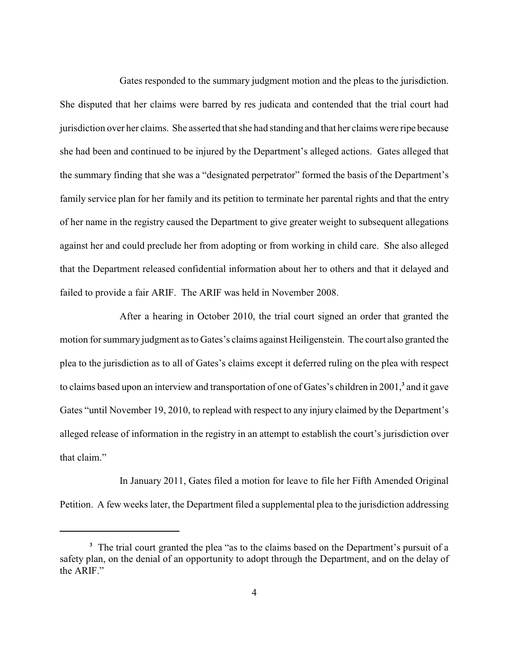Gates responded to the summary judgment motion and the pleas to the jurisdiction. She disputed that her claims were barred by res judicata and contended that the trial court had jurisdiction over her claims. She asserted that she had standing and that her claims were ripe because she had been and continued to be injured by the Department's alleged actions. Gates alleged that the summary finding that she was a "designated perpetrator" formed the basis of the Department's family service plan for her family and its petition to terminate her parental rights and that the entry of her name in the registry caused the Department to give greater weight to subsequent allegations against her and could preclude her from adopting or from working in child care. She also alleged that the Department released confidential information about her to others and that it delayed and failed to provide a fair ARIF. The ARIF was held in November 2008.

After a hearing in October 2010, the trial court signed an order that granted the motion for summary judgment as to Gates's claims against Heiligenstein. The court also granted the plea to the jurisdiction as to all of Gates's claims except it deferred ruling on the plea with respect to claims based upon an interview and transportation of one of Gates's children in 2001,<sup>3</sup> and it gave Gates "until November 19, 2010, to replead with respect to any injury claimed by the Department's alleged release of information in the registry in an attempt to establish the court's jurisdiction over that claim."

In January 2011, Gates filed a motion for leave to file her Fifth Amended Original Petition. A few weeks later, the Department filed a supplemental plea to the jurisdiction addressing

<sup>&</sup>lt;sup>3</sup> The trial court granted the plea "as to the claims based on the Department's pursuit of a safety plan, on the denial of an opportunity to adopt through the Department, and on the delay of the ARIF"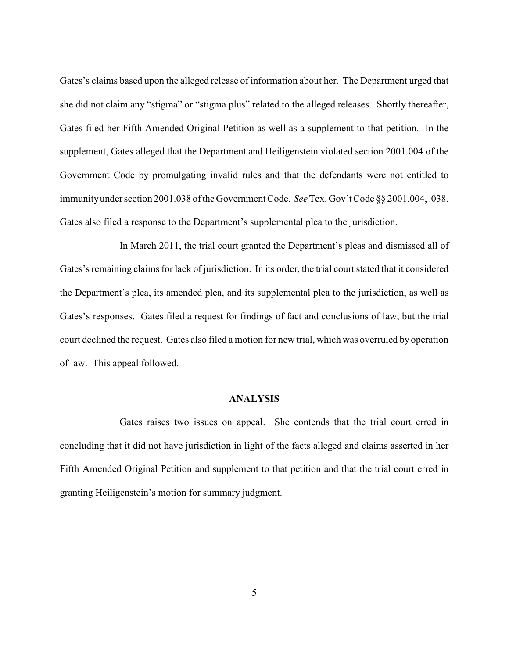Gates's claims based upon the alleged release of information about her. The Department urged that she did not claim any "stigma" or "stigma plus" related to the alleged releases. Shortly thereafter, Gates filed her Fifth Amended Original Petition as well as a supplement to that petition. In the supplement, Gates alleged that the Department and Heiligenstein violated section 2001.004 of the Government Code by promulgating invalid rules and that the defendants were not entitled to immunityunder section 2001.038 of the Government Code. *See*Tex. Gov't Code §§ 2001.004, .038. Gates also filed a response to the Department's supplemental plea to the jurisdiction.

In March 2011, the trial court granted the Department's pleas and dismissed all of Gates's remaining claims for lack of jurisdiction. In its order, the trial court stated that it considered the Department's plea, its amended plea, and its supplemental plea to the jurisdiction, as well as Gates's responses. Gates filed a request for findings of fact and conclusions of law, but the trial court declined the request. Gates also filed a motion for new trial, which was overruled by operation of law. This appeal followed.

## **ANALYSIS**

Gates raises two issues on appeal. She contends that the trial court erred in concluding that it did not have jurisdiction in light of the facts alleged and claims asserted in her Fifth Amended Original Petition and supplement to that petition and that the trial court erred in granting Heiligenstein's motion for summary judgment.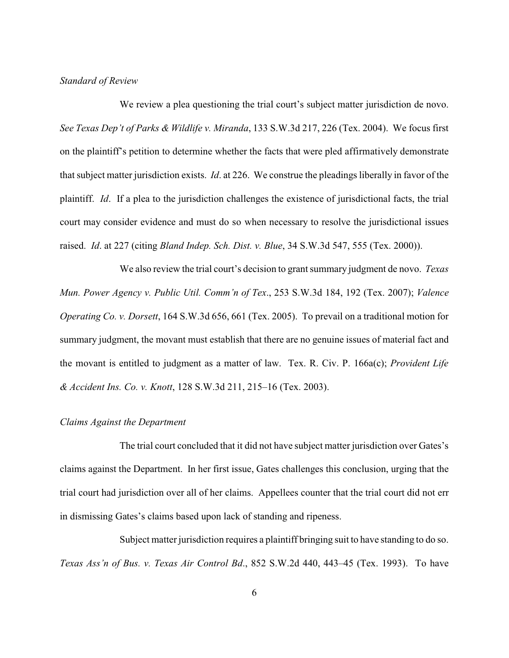#### *Standard of Review*

We review a plea questioning the trial court's subject matter jurisdiction de novo. *See Texas Dep't of Parks & Wildlife v. Miranda*, 133 S.W.3d 217, 226 (Tex. 2004). We focus first on the plaintiff's petition to determine whether the facts that were pled affirmatively demonstrate that subject matter jurisdiction exists. *Id*. at 226. We construe the pleadings liberally in favor of the plaintiff. *Id*. If a plea to the jurisdiction challenges the existence of jurisdictional facts, the trial court may consider evidence and must do so when necessary to resolve the jurisdictional issues raised. *Id*. at 227 (citing *Bland Indep. Sch. Dist. v. Blue*, 34 S.W.3d 547, 555 (Tex. 2000)).

We also review the trial court's decision to grant summary judgment de novo. *Texas Mun. Power Agency v. Public Util. Comm'n of Tex*., 253 S.W.3d 184, 192 (Tex. 2007); *Valence Operating Co. v. Dorsett*, 164 S.W.3d 656, 661 (Tex. 2005). To prevail on a traditional motion for summary judgment, the movant must establish that there are no genuine issues of material fact and the movant is entitled to judgment as a matter of law. Tex. R. Civ. P. 166a(c); *Provident Life & Accident Ins. Co. v. Knott*, 128 S.W.3d 211, 215–16 (Tex. 2003).

### *Claims Against the Department*

The trial court concluded that it did not have subject matter jurisdiction over Gates's claims against the Department. In her first issue, Gates challenges this conclusion, urging that the trial court had jurisdiction over all of her claims. Appellees counter that the trial court did not err in dismissing Gates's claims based upon lack of standing and ripeness.

Subject matter jurisdiction requires a plaintiff bringing suit to have standing to do so. *Texas Ass'n of Bus. v. Texas Air Control Bd*., 852 S.W.2d 440, 443–45 (Tex. 1993). To have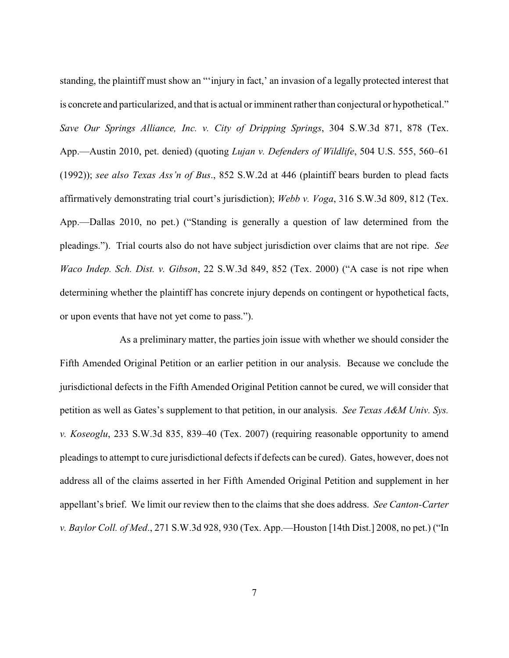standing, the plaintiff must show an "'injury in fact,' an invasion of a legally protected interest that is concrete and particularized, and that is actual or imminent rather than conjectural or hypothetical." *Save Our Springs Alliance, Inc. v. City of Dripping Springs*, 304 S.W.3d 871, 878 (Tex. App.—Austin 2010, pet. denied) (quoting *Lujan v. Defenders of Wildlife*, 504 U.S. 555, 560–61 (1992)); *see also Texas Ass'n of Bus*., 852 S.W.2d at 446 (plaintiff bears burden to plead facts affirmatively demonstrating trial court's jurisdiction); *Webb v. Voga*, 316 S.W.3d 809, 812 (Tex. App.—Dallas 2010, no pet.) ("Standing is generally a question of law determined from the pleadings."). Trial courts also do not have subject jurisdiction over claims that are not ripe. *See Waco Indep. Sch. Dist. v. Gibson*, 22 S.W.3d 849, 852 (Tex. 2000) ("A case is not ripe when determining whether the plaintiff has concrete injury depends on contingent or hypothetical facts, or upon events that have not yet come to pass.").

As a preliminary matter, the parties join issue with whether we should consider the Fifth Amended Original Petition or an earlier petition in our analysis. Because we conclude the jurisdictional defects in the Fifth Amended Original Petition cannot be cured, we will consider that petition as well as Gates's supplement to that petition, in our analysis. *See Texas A&M Univ. Sys. v. Koseoglu*, 233 S.W.3d 835, 839–40 (Tex. 2007) (requiring reasonable opportunity to amend pleadings to attempt to cure jurisdictional defects if defects can be cured). Gates, however, does not address all of the claims asserted in her Fifth Amended Original Petition and supplement in her appellant's brief. We limit our review then to the claims that she does address. *See Canton-Carter v. Baylor Coll. of Med*., 271 S.W.3d 928, 930 (Tex. App.—Houston [14th Dist.] 2008, no pet.) ("In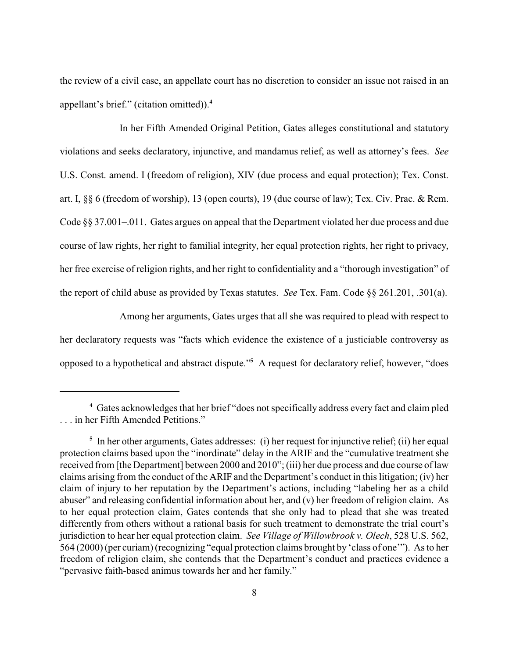the review of a civil case, an appellate court has no discretion to consider an issue not raised in an appellant's brief." (citation omitted)).**<sup>4</sup>**

In her Fifth Amended Original Petition, Gates alleges constitutional and statutory violations and seeks declaratory, injunctive, and mandamus relief, as well as attorney's fees. *See* U.S. Const. amend. I (freedom of religion), XIV (due process and equal protection); Tex. Const. art. I, §§ 6 (freedom of worship), 13 (open courts), 19 (due course of law); Tex. Civ. Prac. & Rem. Code §§ 37.001–.011. Gates argues on appeal that the Department violated her due process and due course of law rights, her right to familial integrity, her equal protection rights, her right to privacy, her free exercise of religion rights, and her right to confidentiality and a "thorough investigation" of the report of child abuse as provided by Texas statutes. *See* Tex. Fam. Code §§ 261.201, .301(a).

Among her arguments, Gates urges that all she was required to plead with respect to her declaratory requests was "facts which evidence the existence of a justiciable controversy as opposed to a hypothetical and abstract dispute." A request for declaratory relief, however, "does **<sup>5</sup>**

Gates acknowledges that her brief "does not specifically address every fact and claim pled **<sup>4</sup>** . . . in her Fifth Amended Petitions."

<sup>&</sup>lt;sup>5</sup> In her other arguments, Gates addresses: (i) her request for injunctive relief; (ii) her equal protection claims based upon the "inordinate" delay in the ARIF and the "cumulative treatment she received from [the Department] between 2000 and 2010"; (iii) her due process and due course of law claims arising from the conduct of the ARIF and the Department's conduct in this litigation; (iv) her claim of injury to her reputation by the Department's actions, including "labeling her as a child abuser" and releasing confidential information about her, and (v) her freedom of religion claim. As to her equal protection claim, Gates contends that she only had to plead that she was treated differently from others without a rational basis for such treatment to demonstrate the trial court's jurisdiction to hear her equal protection claim. *See Village of Willowbrook v. Olech*, 528 U.S. 562, 564 (2000) (per curiam) (recognizing "equal protection claims brought by 'class of one'"). As to her freedom of religion claim, she contends that the Department's conduct and practices evidence a "pervasive faith-based animus towards her and her family."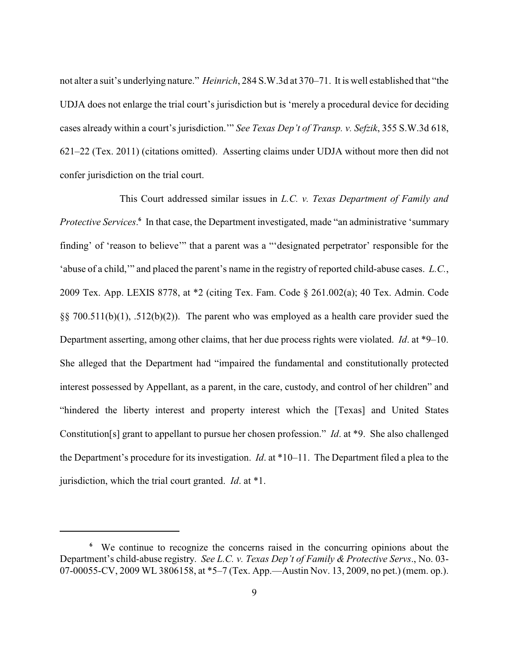not alter a suit's underlying nature." *Heinrich*, 284 S.W.3d at 370–71. It is well established that "the UDJA does not enlarge the trial court's jurisdiction but is 'merely a procedural device for deciding cases already within a court's jurisdiction.'" *See Texas Dep't of Transp. v. Sefzik*, 355 S.W.3d 618, 621–22 (Tex. 2011) (citations omitted). Asserting claims under UDJA without more then did not confer jurisdiction on the trial court.

This Court addressed similar issues in *L.C. v. Texas Department of Family and Protective Services*.<sup>6</sup> In that case, the Department investigated, made "an administrative 'summary finding' of 'reason to believe'" that a parent was a "'designated perpetrator' responsible for the 'abuse of a child,'" and placed the parent's name in the registry of reported child-abuse cases. *L.C.*, 2009 Tex. App. LEXIS 8778, at \*2 (citing Tex. Fam. Code § 261.002(a); 40 Tex. Admin. Code  $\S$ § 700.511(b)(1), .512(b)(2)). The parent who was employed as a health care provider sued the Department asserting, among other claims, that her due process rights were violated. *Id*. at \*9–10. She alleged that the Department had "impaired the fundamental and constitutionally protected interest possessed by Appellant, as a parent, in the care, custody, and control of her children" and "hindered the liberty interest and property interest which the [Texas] and United States Constitution[s] grant to appellant to pursue her chosen profession." *Id*. at \*9. She also challenged the Department's procedure for its investigation. *Id*. at \*10–11. The Department filed a plea to the jurisdiction, which the trial court granted. *Id*. at \*1.

We continue to recognize the concerns raised in the concurring opinions about the **<sup>6</sup>** Department's child-abuse registry. *See L.C. v. Texas Dep't of Family & Protective Servs*., No. 03- 07-00055-CV, 2009 WL 3806158, at \*5–7 (Tex. App.—Austin Nov. 13, 2009, no pet.) (mem. op.).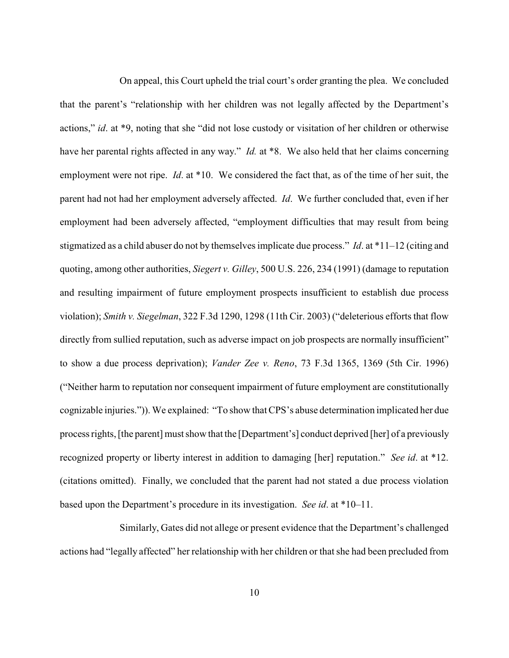On appeal, this Court upheld the trial court's order granting the plea. We concluded that the parent's "relationship with her children was not legally affected by the Department's actions," *id*. at \*9, noting that she "did not lose custody or visitation of her children or otherwise have her parental rights affected in any way." *Id.* at \*8. We also held that her claims concerning employment were not ripe. *Id*. at \*10. We considered the fact that, as of the time of her suit, the parent had not had her employment adversely affected. *Id*. We further concluded that, even if her employment had been adversely affected, "employment difficulties that may result from being stigmatized as a child abuser do not by themselves implicate due process." *Id*. at \*11–12 (citing and quoting, among other authorities, *Siegert v. Gilley*, 500 U.S. 226, 234 (1991) (damage to reputation and resulting impairment of future employment prospects insufficient to establish due process violation); *Smith v. Siegelman*, 322 F.3d 1290, 1298 (11th Cir. 2003) ("deleterious efforts that flow directly from sullied reputation, such as adverse impact on job prospects are normally insufficient" to show a due process deprivation); *Vander Zee v. Reno*, 73 F.3d 1365, 1369 (5th Cir. 1996) ("Neither harm to reputation nor consequent impairment of future employment are constitutionally cognizable injuries.")). We explained: "To show that CPS's abuse determination implicated her due process rights, [the parent] must show that the [Department's] conduct deprived [her] of a previously recognized property or liberty interest in addition to damaging [her] reputation." *See id*. at \*12. (citations omitted). Finally, we concluded that the parent had not stated a due process violation based upon the Department's procedure in its investigation. *See id*. at \*10–11.

Similarly, Gates did not allege or present evidence that the Department's challenged actions had "legally affected" her relationship with her children or that she had been precluded from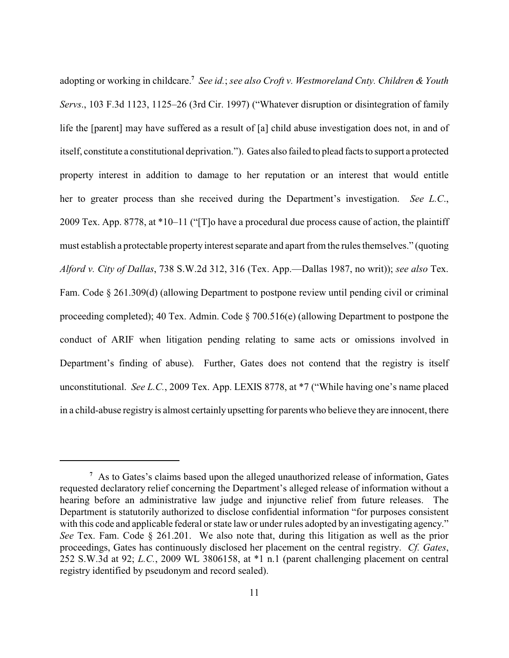adopting or working in childcare.<sup>7</sup> See id.; see also Croft v. Westmoreland Cnty. Children & Youth *Servs*., 103 F.3d 1123, 1125–26 (3rd Cir. 1997) ("Whatever disruption or disintegration of family life the [parent] may have suffered as a result of [a] child abuse investigation does not, in and of itself, constitute a constitutional deprivation."). Gates also failed to plead facts to support a protected property interest in addition to damage to her reputation or an interest that would entitle her to greater process than she received during the Department's investigation. *See L.C*., 2009 Tex. App. 8778, at \*10–11 ("[T]o have a procedural due process cause of action, the plaintiff must establish a protectable property interest separate and apart from the rules themselves." (quoting *Alford v. City of Dallas*, 738 S.W.2d 312, 316 (Tex. App.—Dallas 1987, no writ)); *see also* Tex. Fam. Code § 261.309(d) (allowing Department to postpone review until pending civil or criminal proceeding completed); 40 Tex. Admin. Code § 700.516(e) (allowing Department to postpone the conduct of ARIF when litigation pending relating to same acts or omissions involved in Department's finding of abuse). Further, Gates does not contend that the registry is itself unconstitutional. *See L.C.*, 2009 Tex. App. LEXIS 8778, at \*7 ("While having one's name placed in a child-abuse registry is almost certainly upsetting for parents who believe they are innocent, there

As to Gates's claims based upon the alleged unauthorized release of information, Gates **<sup>7</sup>** requested declaratory relief concerning the Department's alleged release of information without a hearing before an administrative law judge and injunctive relief from future releases. The Department is statutorily authorized to disclose confidential information "for purposes consistent with this code and applicable federal or state law or under rules adopted by an investigating agency." *See* Tex. Fam. Code § 261.201. We also note that, during this litigation as well as the prior proceedings, Gates has continuously disclosed her placement on the central registry. *Cf. Gates*, 252 S.W.3d at 92; *L.C.*, 2009 WL 3806158, at \*1 n.1 (parent challenging placement on central registry identified by pseudonym and record sealed).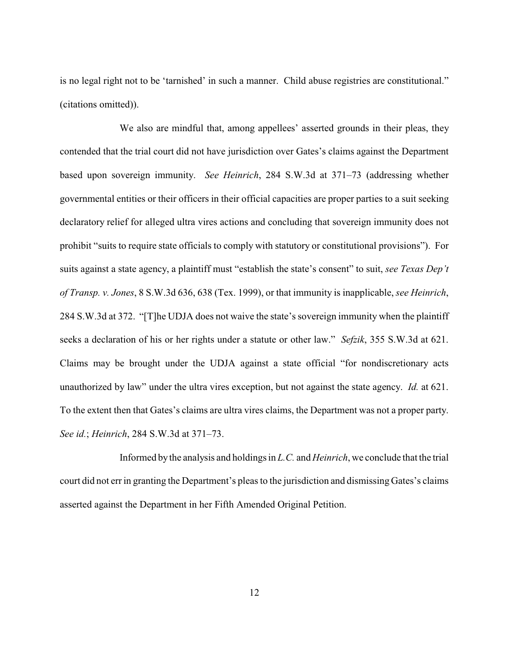is no legal right not to be 'tarnished' in such a manner. Child abuse registries are constitutional." (citations omitted)).

We also are mindful that, among appellees' asserted grounds in their pleas, they contended that the trial court did not have jurisdiction over Gates's claims against the Department based upon sovereign immunity. *See Heinrich*, 284 S.W.3d at 371–73 (addressing whether governmental entities or their officers in their official capacities are proper parties to a suit seeking declaratory relief for alleged ultra vires actions and concluding that sovereign immunity does not prohibit "suits to require state officials to comply with statutory or constitutional provisions"). For suits against a state agency, a plaintiff must "establish the state's consent" to suit, *see Texas Dep't of Transp. v. Jones*, 8 S.W.3d 636, 638 (Tex. 1999), or that immunity is inapplicable, *see Heinrich*, 284 S.W.3d at 372. "[T]he UDJA does not waive the state's sovereign immunity when the plaintiff seeks a declaration of his or her rights under a statute or other law." *Sefzik*, 355 S.W.3d at 621. Claims may be brought under the UDJA against a state official "for nondiscretionary acts unauthorized by law" under the ultra vires exception, but not against the state agency. *Id.* at 621. To the extent then that Gates's claims are ultra vires claims, the Department was not a proper party. *See id.*; *Heinrich*, 284 S.W.3d at 371–73.

Informed by the analysis and holdings in *L.C.* and *Heinrich*, we conclude that the trial court did not errin granting the Department's pleas to the jurisdiction and dismissing Gates's claims asserted against the Department in her Fifth Amended Original Petition.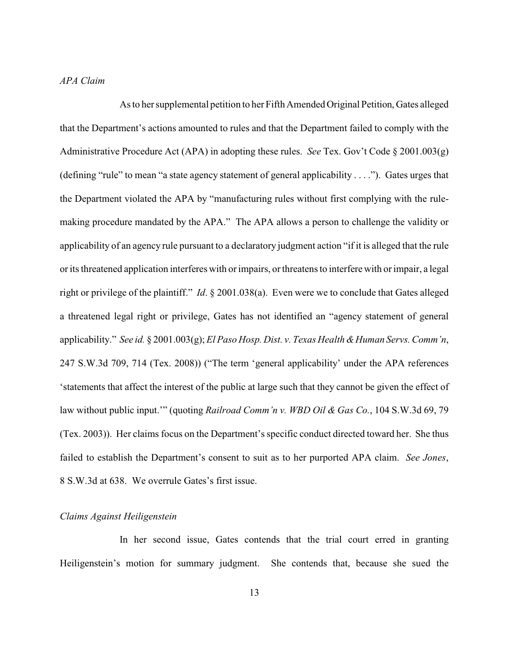## *APA Claim*

As to her supplemental petition to her Fifth Amended Original Petition, Gates alleged that the Department's actions amounted to rules and that the Department failed to comply with the Administrative Procedure Act (APA) in adopting these rules. *See* Tex. Gov't Code § 2001.003(g) (defining "rule" to mean "a state agency statement of general applicability . . . ."). Gates urges that the Department violated the APA by "manufacturing rules without first complying with the rulemaking procedure mandated by the APA." The APA allows a person to challenge the validity or applicability of an agency rule pursuant to a declaratory judgment action "if it is alleged that the rule or its threatened application interferes with or impairs, or threatens to interfere with or impair, a legal right or privilege of the plaintiff." *Id*. § 2001.038(a). Even were we to conclude that Gates alleged a threatened legal right or privilege, Gates has not identified an "agency statement of general applicability." *See id.* § 2001.003(g); *El Paso Hosp. Dist. v. Texas Health & Human Servs. Comm'n,* 247 S.W.3d 709, 714 (Tex. 2008)) ("The term 'general applicability' under the APA references 'statements that affect the interest of the public at large such that they cannot be given the effect of law without public input.'" (quoting *Railroad Comm'n v. WBD Oil & Gas Co.*, 104 S.W.3d 69, 79 (Tex. 2003)). Her claims focus on the Department's specific conduct directed toward her. She thus failed to establish the Department's consent to suit as to her purported APA claim. *See Jones*, 8 S.W.3d at 638. We overrule Gates's first issue.

## *Claims Against Heiligenstein*

In her second issue, Gates contends that the trial court erred in granting Heiligenstein's motion for summary judgment. She contends that, because she sued the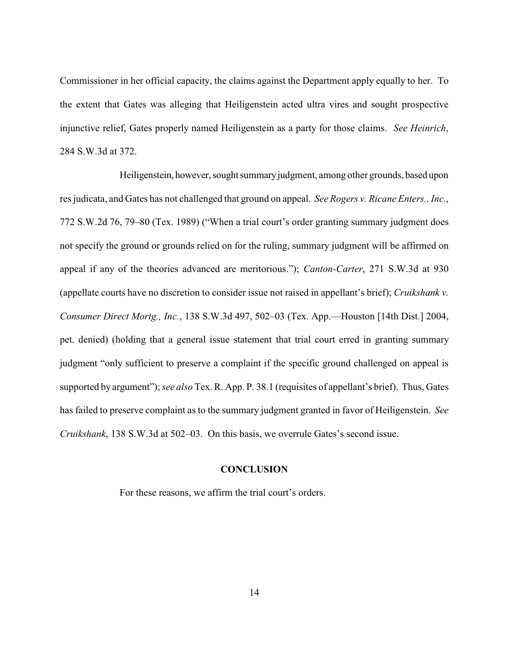Commissioner in her official capacity, the claims against the Department apply equally to her. To the extent that Gates was alleging that Heiligenstein acted ultra vires and sought prospective injunctive relief, Gates properly named Heiligenstein as a party for those claims. *See Heinrich*, 284 S.W.3d at 372.

Heiligenstein, however, sought summary judgment, among other grounds, based upon res judicata, and Gates has not challenged that ground on appeal. *See Rogers v. Ricane Enters., Inc.*, 772 S.W.2d 76, 79–80 (Tex. 1989) ("When a trial court's order granting summary judgment does not specify the ground or grounds relied on for the ruling, summary judgment will be affirmed on appeal if any of the theories advanced are meritorious."); *Canton-Carter*, 271 S.W.3d at 930 (appellate courts have no discretion to consider issue not raised in appellant's brief); *Cruikshank v. Consumer Direct Mortg., Inc.*, 138 S.W.3d 497, 502–03 (Tex. App.—Houston [14th Dist.] 2004, pet. denied) (holding that a general issue statement that trial court erred in granting summary judgment "only sufficient to preserve a complaint if the specific ground challenged on appeal is supported by argument"); *see also* Tex. R. App. P. 38.1 (requisites of appellant's brief). Thus, Gates has failed to preserve complaint as to the summary judgment granted in favor of Heiligenstein. *See Cruikshank*, 138 S.W.3d at 502–03. On this basis, we overrule Gates's second issue.

### **CONCLUSION**

For these reasons, we affirm the trial court's orders.